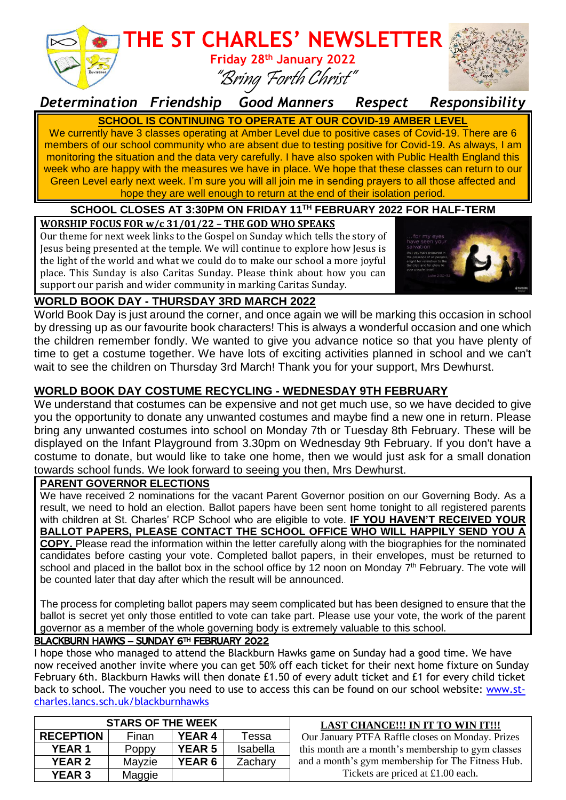

*Determination Friendship Good Manners Respect Responsibility*

**SCHOOL IS CONTINUING TO OPERATE AT OUR COVID-19 AMBER LEVEL** We currently have 3 classes operating at Amber Level due to positive cases of Covid-19. There are 6 members of our school community who are absent due to testing positive for Covid-19. As always, I am monitoring the situation and the data very carefully. I have also spoken with Public Health England this week who are happy with the measures we have in place. We hope that these classes can return to our Green Level early next week. I'm sure you will all join me in sending prayers to all those affected and hope they are well enough to return at the end of their isolation period.

#### **SCHOOL CLOSES AT 3:30PM ON FRIDAY 11 TH FEBRUARY 2022 FOR HALF-TERM**

#### **WORSHIP FOCUS FOR w/c 31/01/22 – THE GOD WHO SPEAKS**

Our theme for next week links to the Gospel on Sunday which tells the story of Jesus being presented at the temple. We will continue to explore how Jesus is the light of the world and what we could do to make our school a more joyful place. This Sunday is also Caritas Sunday. Please think about how you can support our parish and wider community in marking Caritas Sunday.



#### **WORLD BOOK DAY - THURSDAY 3RD MARCH 2022**

World Book Day is just around the corner, and once again we will be marking this occasion in school by dressing up as our favourite book characters! This is always a wonderful occasion and one which the children remember fondly. We wanted to give you advance notice so that you have plenty of time to get a costume together. We have lots of exciting activities planned in school and we can't wait to see the children on Thursday 3rd March! Thank you for your support, Mrs Dewhurst.

#### **WORLD BOOK DAY COSTUME RECYCLING - WEDNESDAY 9TH FEBRUARY**

We understand that costumes can be expensive and not get much use, so we have decided to give you the opportunity to donate any unwanted costumes and maybe find a new one in return. Please bring any unwanted costumes into school on Monday 7th or Tuesday 8th February. These will be displayed on the Infant Playground from 3.30pm on Wednesday 9th February. If you don't have a costume to donate, but would like to take one home, then we would just ask for a small donation towards school funds. We look forward to seeing you then, Mrs Dewhurst.

#### **PARENT GOVERNOR ELECTIONS**

We have received 2 nominations for the vacant Parent Governor position on our Governing Body. As a result, we need to hold an election. Ballot papers have been sent home tonight to all registered parents with children at St. Charles' RCP School who are eligible to vote. **IF YOU HAVEN'T RECEIVED YOUR BALLOT PAPERS, PLEASE CONTACT THE SCHOOL OFFICE WHO WILL HAPPILY SEND YOU A COPY.** Please read the information within the letter carefully along with the biographies for the nominated candidates before casting your vote. Completed ballot papers, in their envelopes, must be returned to school and placed in the ballot box in the school office by 12 noon on Monday  $7<sup>th</sup>$  February. The vote will be counted later that day after which the result will be announced.

The process for completing ballot papers may seem complicated but has been designed to ensure that the ballot is secret yet only those entitled to vote can take part. Please use your vote, the work of the parent governor as a member of the whole governing body is extremely valuable to this school.

#### BLACKBURN HAWKS – SUNDAY 6TH FEBRUARY 2022

I hope those who managed to attend the Blackburn Hawks game on Sunday had a good time. We have now received another invite where you can get 50% off each ticket for their next home fixture on Sunday February 6th. Blackburn Hawks will then donate £1.50 of every adult ticket and £1 for every child ticket back to school. The voucher you need to use to access this can be found on our school website: [www.st](http://www.st-charles.lancs.sch.uk/blackburnhawks)[charles.lancs.sch.uk/blackburnhawks](http://www.st-charles.lancs.sch.uk/blackburnhawks)

| <b>STARS OF THE WEEK</b> |        |               |          | <b>LAST CHANCE!!! IN IT TO WIN IT!!!</b>           |
|--------------------------|--------|---------------|----------|----------------------------------------------------|
| <b>RECEPTION</b>         | Finan  | <b>YEAR 4</b> | Tessa    | Our January PTFA Raffle closes on Monday. Prizes   |
| <b>YEAR 1</b>            | Poppy  | <b>YEAR 5</b> | Isabella | this month are a month's membership to gym classes |
| <b>YEAR 2</b>            | Mayzie | <b>YEAR 6</b> | Zachary  | and a month's gym membership for The Fitness Hub.  |
| <b>YEAR 3</b>            | Maggie |               |          | Tickets are priced at £1.00 each.                  |